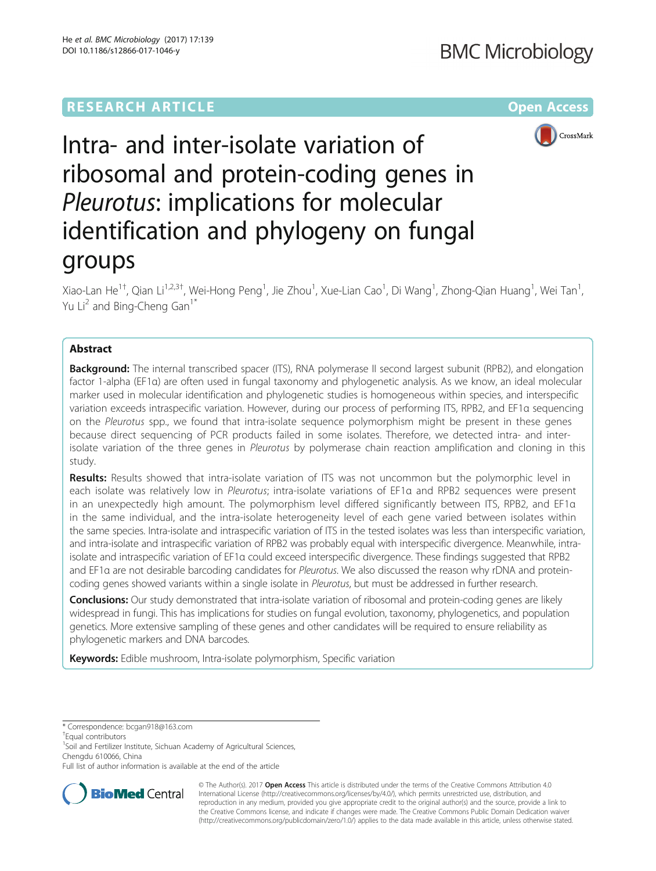# **RESEARCH ARTICLE Example 2014 12:30 The Contract of Contract Article 2014**



# Intra- and inter-isolate variation of ribosomal and protein-coding genes in Pleurotus: implications for molecular identification and phylogeny on fungal groups

Xiao-Lan He<sup>1+</sup>, Qian Li<sup>1,2,3†</sup>, Wei-Hong Peng<sup>1</sup>, Jie Zhou<sup>1</sup>, Xue-Lian Cao<sup>1</sup>, Di Wang<sup>1</sup>, Zhong-Qian Huang<sup>1</sup>, Wei Tan<sup>1</sup> , Yu Li<sup>2</sup> and Bing-Cheng Gan<sup>1\*</sup>

# Abstract

**Background:** The internal transcribed spacer (ITS), RNA polymerase II second largest subunit (RPB2), and elongation factor 1-alpha (EF1α) are often used in fungal taxonomy and phylogenetic analysis. As we know, an ideal molecular marker used in molecular identification and phylogenetic studies is homogeneous within species, and interspecific variation exceeds intraspecific variation. However, during our process of performing ITS, RPB2, and EF1α sequencing on the Pleurotus spp., we found that intra-isolate sequence polymorphism might be present in these genes because direct sequencing of PCR products failed in some isolates. Therefore, we detected intra- and interisolate variation of the three genes in Pleurotus by polymerase chain reaction amplification and cloning in this study.

Results: Results showed that intra-isolate variation of ITS was not uncommon but the polymorphic level in each isolate was relatively low in Pleurotus; intra-isolate variations of EF1α and RPB2 sequences were present in an unexpectedly high amount. The polymorphism level differed significantly between ITS, RPB2, and EF1α in the same individual, and the intra-isolate heterogeneity level of each gene varied between isolates within the same species. Intra-isolate and intraspecific variation of ITS in the tested isolates was less than interspecific variation, and intra-isolate and intraspecific variation of RPB2 was probably equal with interspecific divergence. Meanwhile, intraisolate and intraspecific variation of EF1α could exceed interspecific divergence. These findings suggested that RPB2 and EF1α are not desirable barcoding candidates for Pleurotus. We also discussed the reason why rDNA and proteincoding genes showed variants within a single isolate in Pleurotus, but must be addressed in further research.

Conclusions: Our study demonstrated that intra-isolate variation of ribosomal and protein-coding genes are likely widespread in fungi. This has implications for studies on fungal evolution, taxonomy, phylogenetics, and population genetics. More extensive sampling of these genes and other candidates will be required to ensure reliability as phylogenetic markers and DNA barcodes.

Keywords: Edible mushroom, Intra-isolate polymorphism, Specific variation

\* Correspondence: [bcgan918@163.com](mailto:bcgan918@163.com) †

Equal contributors

<sup>1</sup>Soil and Fertilizer Institute, Sichuan Academy of Agricultural Sciences, Chengdu 610066, China

Full list of author information is available at the end of the article



© The Author(s). 2017 **Open Access** This article is distributed under the terms of the Creative Commons Attribution 4.0 International License [\(http://creativecommons.org/licenses/by/4.0/](http://creativecommons.org/licenses/by/4.0/)), which permits unrestricted use, distribution, and reproduction in any medium, provided you give appropriate credit to the original author(s) and the source, provide a link to the Creative Commons license, and indicate if changes were made. The Creative Commons Public Domain Dedication waiver [\(http://creativecommons.org/publicdomain/zero/1.0/](http://creativecommons.org/publicdomain/zero/1.0/)) applies to the data made available in this article, unless otherwise stated.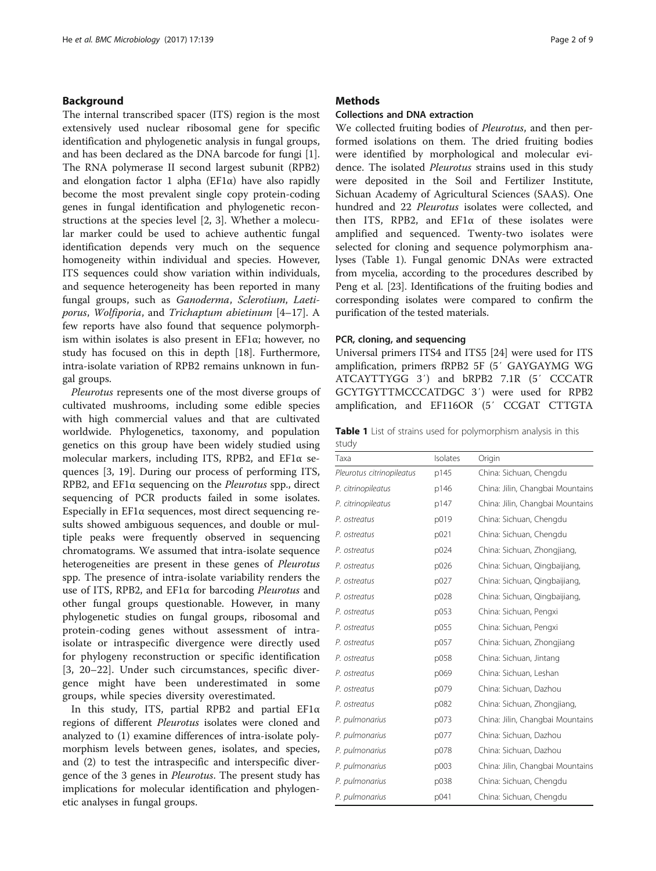# Background

The internal transcribed spacer (ITS) region is the most extensively used nuclear ribosomal gene for specific identification and phylogenetic analysis in fungal groups, and has been declared as the DNA barcode for fungi [\[1](#page-7-0)]. The RNA polymerase II second largest subunit (RPB2) and elongation factor 1 alpha ( $EFA$ ) have also rapidly become the most prevalent single copy protein-coding genes in fungal identification and phylogenetic reconstructions at the species level [\[2](#page-7-0), [3\]](#page-7-0). Whether a molecular marker could be used to achieve authentic fungal identification depends very much on the sequence homogeneity within individual and species. However, ITS sequences could show variation within individuals, and sequence heterogeneity has been reported in many fungal groups, such as Ganoderma, Sclerotium, Laetiporus, Wolfiporia, and Trichaptum abietinum [\[4](#page-7-0)–[17\]](#page-7-0). A few reports have also found that sequence polymorphism within isolates is also present in EF1α; however, no study has focused on this in depth [\[18](#page-7-0)]. Furthermore, intra-isolate variation of RPB2 remains unknown in fungal groups.

Pleurotus represents one of the most diverse groups of cultivated mushrooms, including some edible species with high commercial values and that are cultivated worldwide. Phylogenetics, taxonomy, and population genetics on this group have been widely studied using molecular markers, including ITS, RPB2, and EF1α sequences [[3, 19\]](#page-7-0). During our process of performing ITS, RPB2, and EF1α sequencing on the Pleurotus spp., direct sequencing of PCR products failed in some isolates. Especially in EF1α sequences, most direct sequencing results showed ambiguous sequences, and double or multiple peaks were frequently observed in sequencing chromatograms. We assumed that intra-isolate sequence heterogeneities are present in these genes of Pleurotus spp. The presence of intra-isolate variability renders the use of ITS, RPB2, and EF1α for barcoding Pleurotus and other fungal groups questionable. However, in many phylogenetic studies on fungal groups, ribosomal and protein-coding genes without assessment of intraisolate or intraspecific divergence were directly used for phylogeny reconstruction or specific identification [[3, 20](#page-7-0)–[22](#page-7-0)]. Under such circumstances, specific divergence might have been underestimated in some groups, while species diversity overestimated.

In this study, ITS, partial RPB2 and partial EF1α regions of different Pleurotus isolates were cloned and analyzed to (1) examine differences of intra-isolate polymorphism levels between genes, isolates, and species, and (2) to test the intraspecific and interspecific divergence of the 3 genes in Pleurotus. The present study has implications for molecular identification and phylogenetic analyses in fungal groups.

### **Methods**

# Collections and DNA extraction

We collected fruiting bodies of *Pleurotus*, and then performed isolations on them. The dried fruiting bodies were identified by morphological and molecular evidence. The isolated *Pleurotus* strains used in this study were deposited in the Soil and Fertilizer Institute, Sichuan Academy of Agricultural Sciences (SAAS). One hundred and 22 Pleurotus isolates were collected, and then ITS, RPB2, and EF1 $\alpha$  of these isolates were amplified and sequenced. Twenty-two isolates were selected for cloning and sequence polymorphism analyses (Table 1). Fungal genomic DNAs were extracted from mycelia, according to the procedures described by Peng et al. [[23](#page-7-0)]. Identifications of the fruiting bodies and corresponding isolates were compared to confirm the purification of the tested materials.

#### PCR, cloning, and sequencing

Universal primers ITS4 and ITS5 [\[24](#page-7-0)] were used for ITS amplification, primers fRPB2 5F (5′ GAYGAYMG WG ATCAYTTYGG 3′) and bRPB2 7.1R (5′ CCCATR GCYTGYTTMCCCATDGC 3′) were used for RPB2 amplification, and EF116OR (5′ CCGAT CTTGTA

Table 1 List of strains used for polymorphism analysis in this study

| Taxa                      | Isolates | Origin                           |
|---------------------------|----------|----------------------------------|
| Pleurotus citrinopileatus | p145     | China: Sichuan, Chengdu          |
| P. citrinopileatus        | p146     | China: Jilin, Changbai Mountains |
| P. citrinopileatus        | p147     | China: Jilin, Changbai Mountains |
| P. ostreatus              | p019     | China: Sichuan, Chengdu          |
| P. ostreatus              | p021     | China: Sichuan, Chengdu          |
| P. ostreatus              | p024     | China: Sichuan, Zhongjiang,      |
| P. ostreatus              | p026     | China: Sichuan, Qingbaijiang,    |
| P. ostreatus              | p027     | China: Sichuan, Qingbaijiang,    |
| P. ostreatus              | p028     | China: Sichuan, Qingbaijiang,    |
| P. ostreatus              | p053     | China: Sichuan, Pengxi           |
| P. ostreatus              | p055     | China: Sichuan, Pengxi           |
| P. ostreatus              | p057     | China: Sichuan, Zhongjiang       |
| P. ostreatus              | p058     | China: Sichuan, Jintang          |
| P. ostreatus              | p069     | China: Sichuan, Leshan           |
| P. ostreatus              | p079     | China: Sichuan, Dazhou           |
| P. ostreatus              | p082     | China: Sichuan, Zhongjiang,      |
| P. pulmonarius            | p073     | China: Jilin, Changbai Mountains |
| P. pulmonarius            | p077     | China: Sichuan, Dazhou           |
| P. pulmonarius            | p078     | China: Sichuan, Dazhou           |
| P. pulmonarius            | p003     | China: Jilin, Changbai Mountains |
| P. pulmonarius            | p038     | China: Sichuan, Chengdu          |
| P. pulmonarius            | p041     | China: Sichuan, Chengdu          |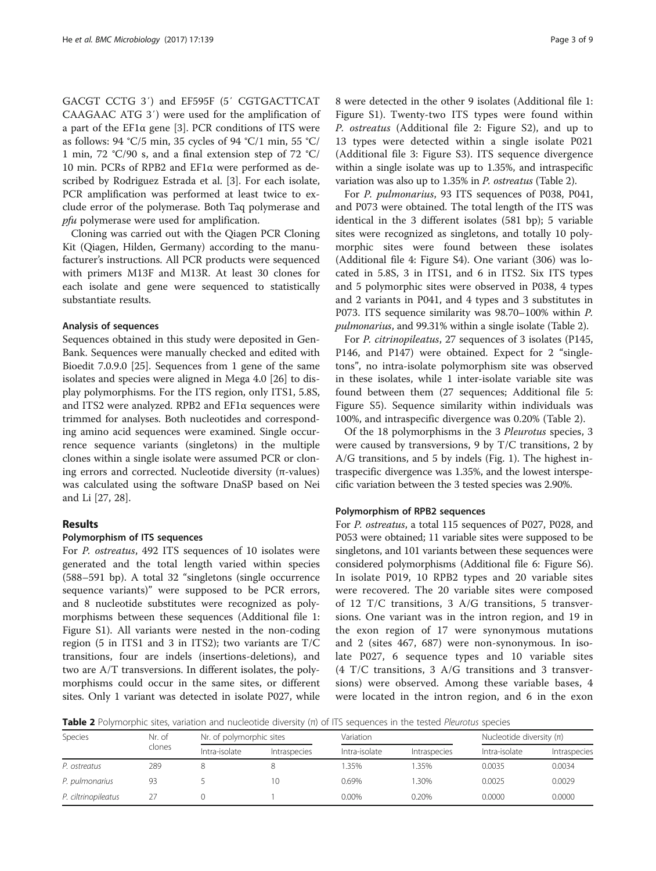GACGT CCTG 3′) and EF595F (5′ CGTGACTTCAT CAAGAAC ATG 3′) were used for the amplification of a part of the EF1 $\alpha$  gene [[3\]](#page-7-0). PCR conditions of ITS were as follows: 94 °C/5 min, 35 cycles of 94 °C/1 min, 55 °C/ 1 min, 72 °C/90 s, and a final extension step of 72 °C/ 10 min. PCRs of RPB2 and EF1α were performed as described by Rodriguez Estrada et al. [[3\]](#page-7-0). For each isolate, PCR amplification was performed at least twice to exclude error of the polymerase. Both Taq polymerase and pfu polymerase were used for amplification.

Cloning was carried out with the Qiagen PCR Cloning Kit (Qiagen, Hilden, Germany) according to the manufacturer's instructions. All PCR products were sequenced with primers M13F and M13R. At least 30 clones for each isolate and gene were sequenced to statistically substantiate results.

#### Analysis of sequences

Sequences obtained in this study were deposited in Gen-Bank. Sequences were manually checked and edited with Bioedit 7.0.9.0 [\[25\]](#page-7-0). Sequences from 1 gene of the same isolates and species were aligned in Mega 4.0 [\[26\]](#page-7-0) to display polymorphisms. For the ITS region, only ITS1, 5.8S, and ITS2 were analyzed. RPB2 and EF1α sequences were trimmed for analyses. Both nucleotides and corresponding amino acid sequences were examined. Single occurrence sequence variants (singletons) in the multiple clones within a single isolate were assumed PCR or cloning errors and corrected. Nucleotide diversity (π-values) was calculated using the software DnaSP based on Nei and Li [[27, 28\]](#page-7-0).

## Results

#### Polymorphism of ITS sequences

For P. ostreatus, 492 ITS sequences of 10 isolates were generated and the total length varied within species (588–591 bp). A total 32 "singletons (single occurrence sequence variants)" were supposed to be PCR errors, and 8 nucleotide substitutes were recognized as polymorphisms between these sequences (Additional file [1](#page-6-0): Figure S1). All variants were nested in the non-coding region (5 in ITS1 and 3 in ITS2); two variants are T/C transitions, four are indels (insertions-deletions), and two are A/T transversions. In different isolates, the polymorphisms could occur in the same sites, or different sites. Only 1 variant was detected in isolate P027, while 8 were detected in the other 9 isolates (Additional file [1](#page-6-0): Figure S1). Twenty-two ITS types were found within P. ostreatus (Additional file [2:](#page-6-0) Figure S2), and up to 13 types were detected within a single isolate P021 (Additional file [3:](#page-6-0) Figure S3). ITS sequence divergence within a single isolate was up to 1.35%, and intraspecific variation was also up to 1.35% in P. ostreatus (Table 2).

For P. pulmonarius, 93 ITS sequences of P038, P041, and P073 were obtained. The total length of the ITS was identical in the 3 different isolates (581 bp); 5 variable sites were recognized as singletons, and totally 10 polymorphic sites were found between these isolates (Additional file [4:](#page-6-0) Figure S4). One variant (306) was located in 5.8S, 3 in ITS1, and 6 in ITS2. Six ITS types and 5 polymorphic sites were observed in P038, 4 types and 2 variants in P041, and 4 types and 3 substitutes in P073. ITS sequence similarity was 98.70–100% within P. pulmonarius, and 99.31% within a single isolate (Table 2).

For P. citrinopileatus, 27 sequences of 3 isolates (P145, P146, and P147) were obtained. Expect for 2 "singletons", no intra-isolate polymorphism site was observed in these isolates, while 1 inter-isolate variable site was found between them (27 sequences; Additional file [5](#page-6-0): Figure S5). Sequence similarity within individuals was 100%, and intraspecific divergence was 0.20% (Table 2).

Of the 18 polymorphisms in the 3 Pleurotus species, 3 were caused by transversions, 9 by T/C transitions, 2 by A/G transitions, and 5 by indels (Fig. [1\)](#page-3-0). The highest intraspecific divergence was 1.35%, and the lowest interspecific variation between the 3 tested species was 2.90%.

#### Polymorphism of RPB2 sequences

For P. ostreatus, a total 115 sequences of P027, P028, and P053 were obtained; 11 variable sites were supposed to be singletons, and 101 variants between these sequences were considered polymorphisms (Additional file [6](#page-6-0): Figure S6). In isolate P019, 10 RPB2 types and 20 variable sites were recovered. The 20 variable sites were composed of 12 T/C transitions, 3 A/G transitions, 5 transversions. One variant was in the intron region, and 19 in the exon region of 17 were synonymous mutations and 2 (sites 467, 687) were non-synonymous. In isolate P027, 6 sequence types and 10 variable sites (4 T/C transitions, 3 A/G transitions and 3 transversions) were observed. Among these variable bases, 4 were located in the intron region, and 6 in the exon

Table 2 Polymorphic sites, variation and nucleotide diversity  $(n)$  of ITS sequences in the tested Pleurotus species

| Species             | Nr. of<br>clones | Nr. of polymorphic sites |                     | Variation     |              | Nucleotide diversity $(n)$ |              |
|---------------------|------------------|--------------------------|---------------------|---------------|--------------|----------------------------|--------------|
|                     |                  | Intra-isolate            | <i>Intraspecies</i> | Intra-isolate | Intraspecies | Intra-isolate              | Intraspecies |
| P. ostreatus        | 289              |                          |                     | .35%          | 1.35%        | 0.0035                     | 0.0034       |
| P. pulmonarius      | 93               |                          | 10                  | 0.69%         | 1.30%        | 0.0025                     | 0.0029       |
| P. ciltrinopileatus |                  |                          |                     | $0.00\%$      | 0.20%        | 0.0000                     | 0.0000       |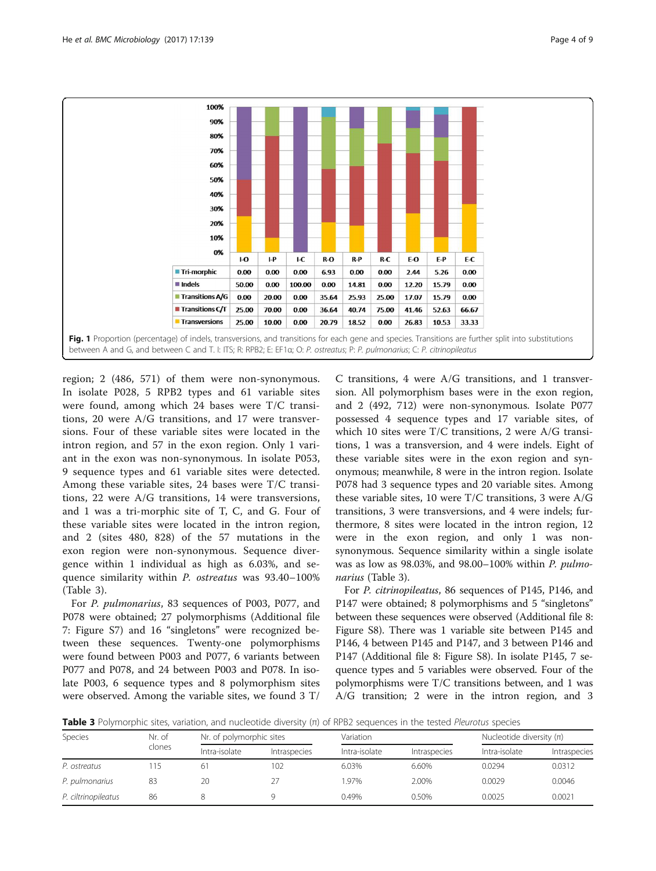<span id="page-3-0"></span>

region; 2 (486, 571) of them were non-synonymous. In isolate P028, 5 RPB2 types and 61 variable sites were found, among which 24 bases were T/C transitions, 20 were A/G transitions, and 17 were transversions. Four of these variable sites were located in the intron region, and 57 in the exon region. Only 1 variant in the exon was non-synonymous. In isolate P053, 9 sequence types and 61 variable sites were detected. Among these variable sites, 24 bases were T/C transitions, 22 were A/G transitions, 14 were transversions, and 1 was a tri-morphic site of T, C, and G. Four of these variable sites were located in the intron region, and 2 (sites 480, 828) of the 57 mutations in the exon region were non-synonymous. Sequence divergence within 1 individual as high as 6.03%, and sequence similarity within P. ostreatus was 93.40–100% (Table 3).

For P. pulmonarius, 83 sequences of P003, P077, and P078 were obtained; 27 polymorphisms (Additional file [7:](#page-6-0) Figure S7) and 16 "singletons" were recognized between these sequences. Twenty-one polymorphisms were found between P003 and P077, 6 variants between P077 and P078, and 24 between P003 and P078. In isolate P003, 6 sequence types and 8 polymorphism sites were observed. Among the variable sites, we found 3 T/

C transitions, 4 were A/G transitions, and 1 transversion. All polymorphism bases were in the exon region, and 2 (492, 712) were non-synonymous. Isolate P077 possessed 4 sequence types and 17 variable sites, of which 10 sites were T/C transitions, 2 were A/G transitions, 1 was a transversion, and 4 were indels. Eight of these variable sites were in the exon region and synonymous; meanwhile, 8 were in the intron region. Isolate P078 had 3 sequence types and 20 variable sites. Among these variable sites, 10 were T/C transitions, 3 were A/G transitions, 3 were transversions, and 4 were indels; furthermore, 8 sites were located in the intron region, 12 were in the exon region, and only 1 was nonsynonymous. Sequence similarity within a single isolate was as low as 98.03%, and 98.00–100% within P. pulmonarius (Table 3).

For P. citrinopileatus, 86 sequences of P145, P146, and P147 were obtained; 8 polymorphisms and 5 "singletons" between these sequences were observed (Additional file [8](#page-6-0): Figure S8). There was 1 variable site between P145 and P146, 4 between P145 and P147, and 3 between P146 and P147 (Additional file [8](#page-6-0): Figure S8). In isolate P145, 7 sequence types and 5 variables were observed. Four of the polymorphisms were T/C transitions between, and 1 was A/G transition; 2 were in the intron region, and 3

Table 3 Polymorphic sites, variation, and nucleotide diversity ( $\pi$ ) of RPB2 sequences in the tested Pleurotus species

| Species             | Nr. of<br>clones | Nr. of polymorphic sites |                     | Variation     |              | Nucleotide diversity $(n)$ |              |  |
|---------------------|------------------|--------------------------|---------------------|---------------|--------------|----------------------------|--------------|--|
|                     |                  | Intra-isolate            | <i>Intraspecies</i> | Intra-isolate | Intraspecies | Intra-isolate              | Intraspecies |  |
| P. ostreatus        |                  | 61                       | 102                 | 6.03%         | 6.60%        | 0.0294                     | 0.0312       |  |
| P. pulmonarius      | 83               | 20                       | 27                  | 1.97%         | 2.00%        | 0.0029                     | 0.0046       |  |
| P. ciltrinopileatus | 86               |                          |                     | 0.49%         | 0.50%        | 0.0025                     | 0.0021       |  |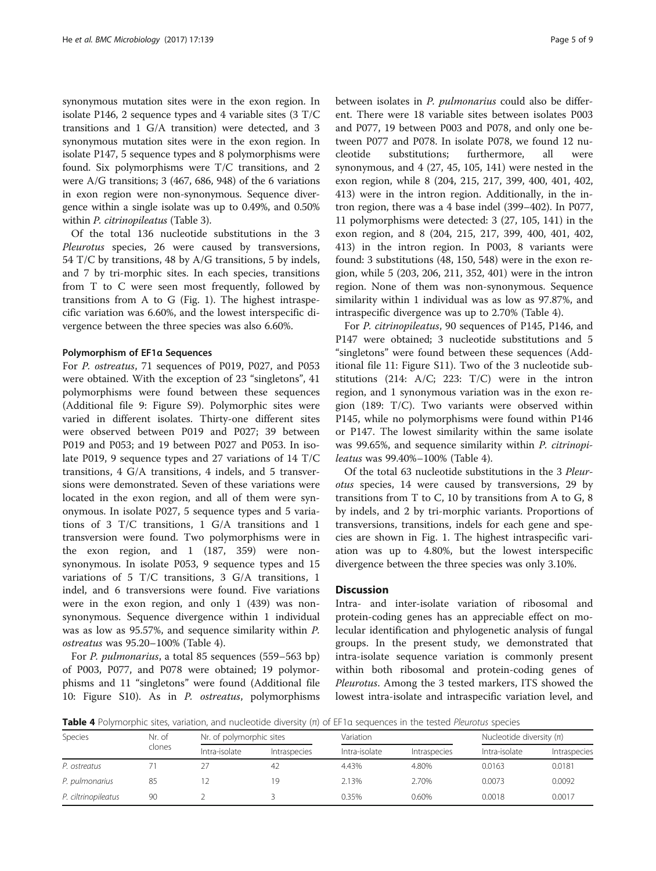synonymous mutation sites were in the exon region. In isolate P146, 2 sequence types and 4 variable sites (3 T/C transitions and 1 G/A transition) were detected, and 3 synonymous mutation sites were in the exon region. In isolate P147, 5 sequence types and 8 polymorphisms were found. Six polymorphisms were T/C transitions, and 2 were A/G transitions; 3 (467, 686, 948) of the 6 variations in exon region were non-synonymous. Sequence divergence within a single isolate was up to 0.49%, and 0.50% within *P. citrinopileatus* (Table [3\)](#page-3-0).

Of the total 136 nucleotide substitutions in the 3 Pleurotus species, 26 were caused by transversions, 54 T/C by transitions, 48 by A/G transitions, 5 by indels, and 7 by [tri-morphic sites](http://xueshu.baidu.com/s?wd=paperuri%3A%28ea6d2ee920bbdd09c3730f50604afdf9%29&filter=sc_long_sign&tn=SE_xueshusource_2kduw22v&sc_vurl=http%3A%2F%2Feuropepmc.org%2Farticles%2FPMC332367&ie=utf-8&sc_us=1346358142156252113). In each species, transitions from T to C were seen most frequently, followed by transitions from A to G (Fig. [1\)](#page-3-0). The highest intraspecific variation was 6.60%, and the lowest interspecific divergence between the three species was also 6.60%.

#### Polymorphism of EF1α Sequences

For P. ostreatus, 71 sequences of P019, P027, and P053 were obtained. With the exception of 23 "singletons", 41 polymorphisms were found between these sequences (Additional file [9](#page-6-0): Figure S9). Polymorphic sites were varied in different isolates. Thirty-one different sites were observed between P019 and P027; 39 between P019 and P053; and 19 between P027 and P053. In isolate P019, 9 sequence types and 27 variations of 14 T/C transitions, 4 G/A transitions, 4 indels, and 5 transversions were demonstrated. Seven of these variations were located in the exon region, and all of them were synonymous. In isolate P027, 5 sequence types and 5 variations of 3 T/C transitions, 1 G/A transitions and 1 transversion were found. Two polymorphisms were in the exon region, and 1 (187, 359) were nonsynonymous. In isolate P053, 9 sequence types and 15 variations of 5 T/C transitions, 3 G/A transitions, 1 indel, and 6 transversions were found. Five variations were in the exon region, and only 1 (439) was nonsynonymous. Sequence divergence within 1 individual was as low as 95.57%, and sequence similarity within P. ostreatus was 95.20–100% (Table 4).

For *P. pulmonarius*, a total 85 sequences (559–563 bp) of P003, P077, and P078 were obtained; 19 polymorphisms and 11 "singletons" were found (Additional file [10:](#page-6-0) Figure S10). As in P. ostreatus, polymorphisms between isolates in P. pulmonarius could also be different. There were 18 variable sites between isolates P003 and P077, 19 between P003 and P078, and only one between P077 and P078. In isolate P078, we found 12 nucleotide substitutions; furthermore, all were synonymous, and 4 (27, 45, 105, 141) were nested in the exon region, while 8 (204, 215, 217, 399, 400, 401, 402, 413) were in the intron region. Additionally, in the intron region, there was a 4 base indel (399–402). In P077, 11 polymorphisms were detected: 3 (27, 105, 141) in the exon region, and 8 (204, 215, 217, 399, 400, 401, 402, 413) in the intron region. In P003, 8 variants were found: 3 substitutions (48, 150, 548) were in the exon region, while 5 (203, 206, 211, 352, 401) were in the intron region. None of them was non-synonymous. Sequence similarity within 1 individual was as low as 97.87%, and intraspecific divergence was up to 2.70% (Table 4).

For P. citrinopileatus, 90 sequences of P145, P146, and P147 were obtained; 3 nucleotide substitutions and 5 "singletons" were found between these sequences (Additional file [11](#page-6-0): Figure S11). Two of the 3 nucleotide substitutions  $(214: A/C; 223: T/C)$  were in the intron region, and 1 synonymous variation was in the exon region (189: T/C). Two variants were observed within P145, while no polymorphisms were found within P146 or P147. The lowest similarity within the same isolate was 99.65%, and sequence similarity within P. citrinopileatus was 99.40%–100% (Table 4).

Of the total 63 nucleotide substitutions in the 3 Pleurotus species, 14 were caused by transversions, 29 by transitions from  $T$  to  $C$ , 10 by transitions from A to  $G$ , 8 by indels, and 2 by [tri-morphic variants](http://xueshu.baidu.com/s?wd=paperuri%3A%28ea6d2ee920bbdd09c3730f50604afdf9%29&filter=sc_long_sign&tn=SE_xueshusource_2kduw22v&sc_vurl=http%3A%2F%2Feuropepmc.org%2Farticles%2FPMC332367&ie=utf-8&sc_us=1346358142156252113). Proportions of transversions, transitions, indels for each gene and species are shown in Fig. [1](#page-3-0). The highest intraspecific variation was up to 4.80%, but the lowest interspecific divergence between the three species was only 3.10%.

## **Discussion**

Intra- and inter-isolate variation of ribosomal and protein-coding genes has an appreciable effect on molecular identification and phylogenetic analysis of fungal groups. In the present study, we demonstrated that intra-isolate sequence variation is commonly present within both ribosomal and protein-coding genes of Pleurotus. Among the 3 tested markers, ITS showed the lowest intra-isolate and intraspecific variation level, and

Table 4 Polymorphic sites, variation, and nucleotide diversity (π) of EF1α sequences in the tested Pleurotus species

| Species             | Nr. of<br>clones | Nr. of polymorphic sites |                     | Variation     |              | Nucleotide diversity $(n)$ |              |
|---------------------|------------------|--------------------------|---------------------|---------------|--------------|----------------------------|--------------|
|                     |                  | Intra-isolate            | <i>Intraspecies</i> | Intra-isolate | Intraspecies | Intra-isolate              | Intraspecies |
| P. ostreatus        |                  |                          | 42                  | 4.43%         | 4.80%        | 0.0163                     | 0.0181       |
| P. pulmonarius      | 85               |                          | 19                  | 2.13%         | 2.70%        | 0.0073                     | 0.0092       |
| P. ciltrinopileatus | 90               |                          |                     | 0.35%         | 0.60%        | 0.0018                     | 0.0017       |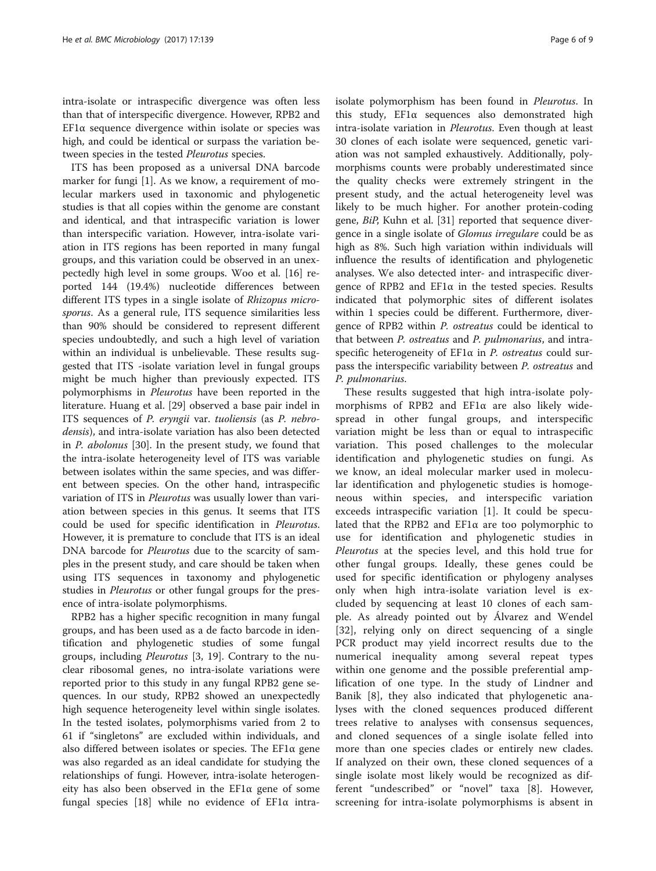intra-isolate or intraspecific divergence was often less than that of interspecific divergence. However, RPB2 and EF1 $\alpha$  sequence divergence within isolate or species was high, and could be identical or surpass the variation between species in the tested Pleurotus species.

ITS has been proposed as a universal DNA barcode marker for fungi [\[1](#page-7-0)]. As we know, a requirement of molecular markers used in taxonomic and phylogenetic studies is that all copies within the genome are constant and identical, and that intraspecific variation is lower than interspecific variation. However, intra-isolate variation in ITS regions has been reported in many fungal groups, and this variation could be observed in an unexpectedly high level in some groups. Woo et al. [[16\]](#page-7-0) reported 144 (19.4%) nucleotide differences between different ITS types in a single isolate of Rhizopus microsporus. As a general rule, ITS sequence similarities less than 90% should be considered to represent different species undoubtedly, and such a high level of variation within an individual is unbelievable. These results suggested that ITS -isolate variation level in fungal groups might be much higher than previously expected. ITS polymorphisms in Pleurotus have been reported in the literature. Huang et al. [\[29\]](#page-7-0) observed a base pair indel in ITS sequences of P. eryngii var. tuoliensis (as P. nebrodensis), and intra-isolate variation has also been detected in P. abolonus [[30\]](#page-7-0). In the present study, we found that the intra-isolate heterogeneity level of ITS was variable between isolates within the same species, and was different between species. On the other hand, intraspecific variation of ITS in Pleurotus was usually lower than variation between species in this genus. It seems that ITS could be used for specific identification in Pleurotus. However, it is premature to conclude that ITS is an ideal DNA barcode for Pleurotus due to the scarcity of samples in the present study, and care should be taken when using ITS sequences in taxonomy and phylogenetic studies in Pleurotus or other fungal groups for the presence of intra-isolate polymorphisms.

RPB2 has a higher specific recognition in many fungal groups, and has been used as a de facto barcode in identification and phylogenetic studies of some fungal groups, including Pleurotus [[3](#page-7-0), [19](#page-7-0)]. Contrary to the nuclear ribosomal genes, no intra-isolate variations were reported prior to this study in any fungal RPB2 gene sequences. In our study, RPB2 showed an unexpectedly high sequence heterogeneity level within single isolates. In the tested isolates, polymorphisms varied from 2 to 61 if "singletons" are excluded within individuals, and also differed between isolates or species. The EF1α gene was also regarded as an ideal candidate for studying the relationships of fungi. However, intra-isolate heterogeneity has also been observed in the EF1α gene of some fungal species [[18\]](#page-7-0) while no evidence of  $EFA$  intraisolate polymorphism has been found in Pleurotus. In this study, EF1α sequences also demonstrated high intra-isolate variation in Pleurotus. Even though at least 30 clones of each isolate were sequenced, genetic variation was not sampled exhaustively. Additionally, polymorphisms counts were probably underestimated since the quality checks were extremely stringent in the present study, and the actual heterogeneity level was likely to be much higher. For another protein-coding gene, BiP, Kuhn et al. [\[31\]](#page-7-0) reported that sequence divergence in a single isolate of Glomus irregulare could be as high as 8%. Such high variation within individuals will influence the results of identification and phylogenetic analyses. We also detected inter- and intraspecific divergence of RPB2 and  $EFA$  in the tested species. Results indicated that polymorphic sites of different isolates within 1 species could be different. Furthermore, divergence of RPB2 within P. ostreatus could be identical to that between P. ostreatus and P. pulmonarius, and intraspecific heterogeneity of  $EFl\alpha$  in P. ostreatus could surpass the interspecific variability between P. ostreatus and P. pulmonarius.

These results suggested that high intra-isolate polymorphisms of RPB2 and EF1α are also likely widespread in other fungal groups, and interspecific variation might be less than or equal to intraspecific variation. This posed challenges to the molecular identification and phylogenetic studies on fungi. As we know, an ideal molecular marker used in molecular identification and phylogenetic studies is homogeneous within species, and interspecific variation exceeds intraspecific variation [[1](#page-7-0)]. It could be speculated that the RPB2 and EF1α are too polymorphic to use for identification and phylogenetic studies in Pleurotus at the species level, and this hold true for other fungal groups. Ideally, these genes could be used for specific identification or phylogeny analyses only when high intra-isolate variation level is excluded by sequencing at least 10 clones of each sample. As already pointed out by Álvarez and Wendel [[32\]](#page-7-0), relying only on direct sequencing of a single PCR product may yield incorrect results due to the numerical inequality among several repeat types within one genome and the possible preferential amplification of one type. In the study of Lindner and Banik [[8\]](#page-7-0), they also indicated that phylogenetic analyses with the cloned sequences produced different trees relative to analyses with consensus sequences, and cloned sequences of a single isolate felled into more than one species clades or entirely new clades. If analyzed on their own, these cloned sequences of a single isolate most likely would be recognized as different "undescribed" or "novel" taxa [\[8](#page-7-0)]. However, screening for intra-isolate polymorphisms is absent in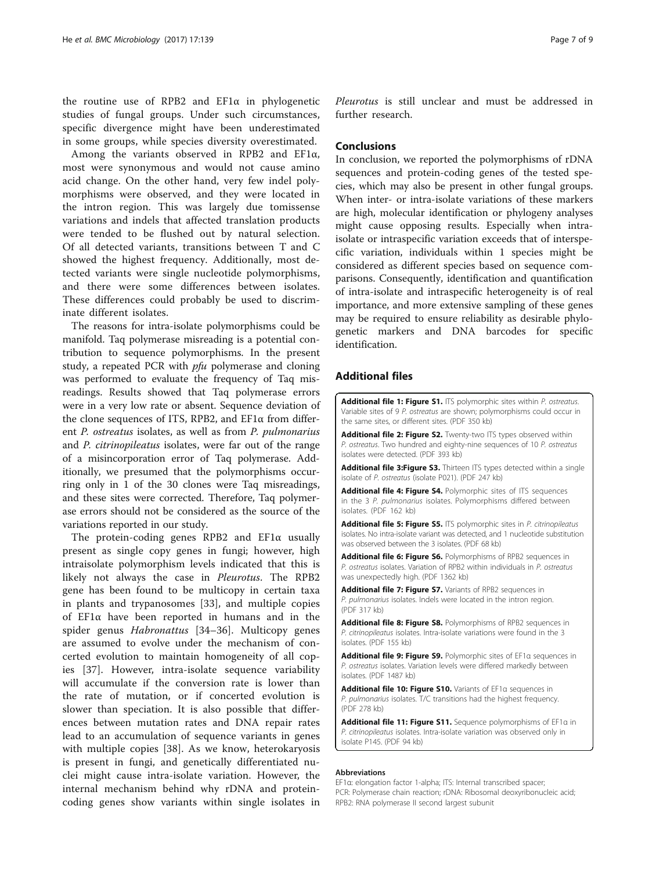<span id="page-6-0"></span>the routine use of RPB2 and EF1α in phylogenetic studies of fungal groups. Under such circumstances, specific divergence might have been underestimated in some groups, while species diversity overestimated.

Among the variants observed in RPB2 and EF1α, most were synonymous and would not cause amino acid change. On the other hand, very few indel polymorphisms were observed, and they were located in the intron region. This was largely due tomissense variations and indels that affected translation products were tended to be flushed out by natural selection. Of all detected variants, transitions between T and C showed the highest frequency. Additionally, most detected variants were single nucleotide polymorphisms, and there were some differences between isolates. These differences could probably be used to discriminate different isolates.

The reasons for intra-isolate polymorphisms could be manifold. Taq polymerase misreading is a potential contribution to sequence polymorphisms. In the present study, a repeated PCR with *pfu* polymerase and cloning was performed to evaluate the frequency of Taq misreadings. Results showed that Taq polymerase errors were in a very low rate or absent. Sequence deviation of the clone sequences of ITS, RPB2, and  $EFA$  from different P. ostreatus isolates, as well as from P. pulmonarius and P. citrinopileatus isolates, were far out of the range of a misincorporation error of Taq polymerase. Additionally, we presumed that the polymorphisms occurring only in 1 of the 30 clones were Taq misreadings, and these sites were corrected. Therefore, Taq polymerase errors should not be considered as the source of the variations reported in our study.

The protein-coding genes RPB2 and EF1α usually present as single copy genes in fungi; however, high intraisolate polymorphism levels indicated that this is likely not always the case in Pleurotus. The RPB2 gene has been found to be multicopy in certain taxa in plants and trypanosomes [[33](#page-8-0)], and multiple copies of EF1α have been reported in humans and in the spider genus Habronattus [[34](#page-8-0)–[36\]](#page-8-0). Multicopy genes are assumed to evolve under the mechanism of concerted evolution to maintain homogeneity of all copies [\[37](#page-8-0)]. However, intra-isolate sequence variability will accumulate if the conversion rate is lower than the rate of mutation, or if concerted evolution is slower than speciation. It is also possible that differences between mutation rates and DNA repair rates lead to an accumulation of sequence variants in genes with multiple copies [\[38](#page-8-0)]. As we know, heterokaryosis is present in fungi, and genetically differentiated nuclei might cause intra-isolate variation. However, the internal mechanism behind why rDNA and proteincoding genes show variants within single isolates in

Pleurotus is still unclear and must be addressed in further research.

# Conclusions

In conclusion, we reported the polymorphisms of rDNA sequences and protein-coding genes of the tested species, which may also be present in other fungal groups. When inter- or intra-isolate variations of these markers are high, molecular identification or phylogeny analyses might cause opposing results. Especially when intraisolate or intraspecific variation exceeds that of interspecific variation, individuals within 1 species might be considered as different species based on sequence comparisons. Consequently, identification and quantification of intra-isolate and intraspecific heterogeneity is of real importance, and more extensive sampling of these genes may be required to ensure reliability as desirable phylogenetic markers and DNA barcodes for specific identification.

# Additional files

[Additional file 1: Figure S1.](dx.doi.org/10.1186/s12866-017-1046-y) ITS polymorphic sites within P. ostreatus. Variable sites of 9 P. ostreatus are shown; polymorphisms could occur in the same sites, or different sites. (PDF 350 kb)

[Additional file 2: Figure S2.](dx.doi.org/10.1186/s12866-017-1046-y) Twenty-two ITS types observed within P. ostreatus. Two hundred and eighty-nine sequences of 10 P. ostreatus isolates were detected. (PDF 393 kb)

Additional file 3: Figure S3. Thirteen ITS types detected within a single isolate of P. ostreatus (isolate P021). (PDF 247 kb)

[Additional file 4: Figure S4.](dx.doi.org/10.1186/s12866-017-1046-y) Polymorphic sites of ITS sequences in the 3 P. pulmonarius isolates. Polymorphisms differed between isolates. (PDF 162 kb)

[Additional file 5: Figure S5.](dx.doi.org/10.1186/s12866-017-1046-y) ITS polymorphic sites in P. citrinopileatus isolates. No intra-isolate variant was detected, and 1 nucleotide substitution was observed between the 3 isolates. (PDF 68 kb)

[Additional file 6: Figure S6.](dx.doi.org/10.1186/s12866-017-1046-y) Polymorphisms of RPB2 sequences in P. ostreatus isolates. Variation of RPB2 within individuals in P. ostreatus was unexpectedly high. (PDF 1362 kb)

[Additional file 7: Figure S7.](dx.doi.org/10.1186/s12866-017-1046-y) Variants of RPB2 sequences in P. pulmonarius isolates. Indels were located in the intron region. (PDF 317 kb)

[Additional file 8: Figure S8.](dx.doi.org/10.1186/s12866-017-1046-y) Polymorphisms of RPB2 sequences in P. citrinopileatus isolates. Intra-isolate variations were found in the 3 isolates. (PDF 155 kb)

[Additional file 9: Figure S9.](dx.doi.org/10.1186/s12866-017-1046-y) Polymorphic sites of EF1a sequences in P. ostreatus isolates. Variation levels were differed markedly between isolates. (PDF 1487 kb)

[Additional file 10: Figure S10.](dx.doi.org/10.1186/s12866-017-1046-y) Variants of EF1a sequences in P. pulmonarius isolates. T/C transitions had the highest frequency. (PDF 278 kb)

[Additional file 11: Figure S11.](dx.doi.org/10.1186/s12866-017-1046-y) Sequence polymorphisms of EF1α in P. citrinopileatus isolates. Intra-isolate variation was observed only in isolate P145. (PDF 94 kb)

#### Abbreviations

EF1α: elongation factor 1-alpha; ITS: Internal transcribed spacer; PCR: Polymerase chain reaction; rDNA: Ribosomal deoxyribonucleic acid; RPB2: RNA polymerase II second largest subunit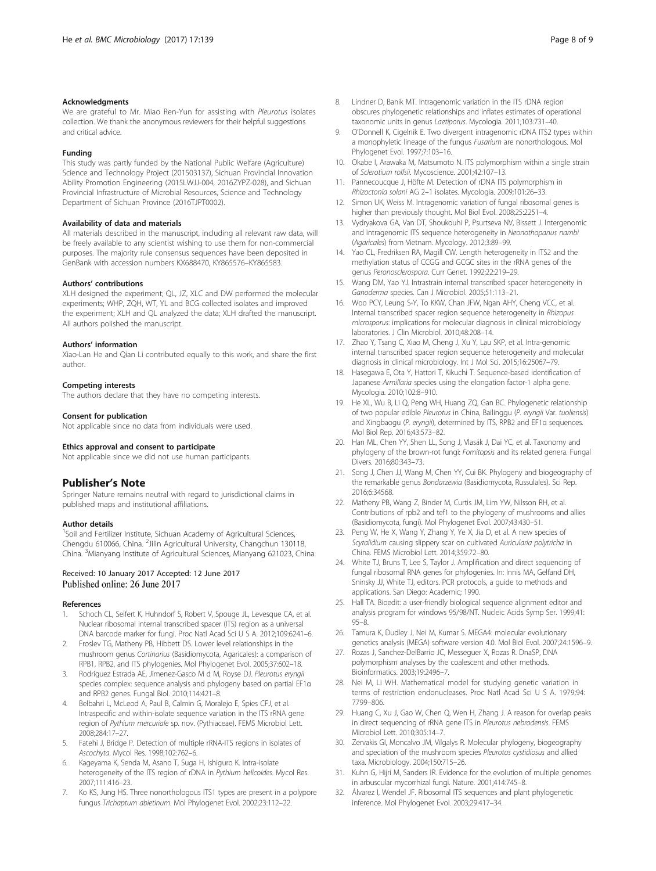#### <span id="page-7-0"></span>Acknowledgments

We are grateful to Mr. Miao Ren-Yun for assisting with Pleurotus isolates collection. We thank the anonymous reviewers for their helpful suggestions and critical advice.

#### Funding

This study was partly funded by the National Public Welfare (Agriculture) Science and Technology Project (201503137), Sichuan Provincial Innovation Ability Promotion Engineering (2015LWJJ-004, 2016ZYPZ-028), and Sichuan Provincial Infrastructure of Microbial Resources, Science and Technology Department of Sichuan Province (2016TJPT0002).

#### Availability of data and materials

All materials described in the manuscript, including all relevant raw data, will be freely available to any scientist wishing to use them for non-commercial purposes. The majority rule consensus sequences have been deposited in GenBank with accession numbers KX688470, KY865576–KY865583.

#### Authors' contributions

XLH designed the experiment; QL, JZ, XLC and DW performed the molecular experiments; WHP, ZQH, WT, YL and BCG collected isolates and improved the experiment; XLH and QL analyzed the data; XLH drafted the manuscript. All authors polished the manuscript.

#### Authors' information

Xiao-Lan He and Qian Li contributed equally to this work, and share the first author.

#### Competing interests

The authors declare that they have no competing interests.

#### Consent for publication

Not applicable since no data from individuals were used.

#### Ethics approval and consent to participate

Not applicable since we did not use human participants.

#### Publisher's Note

Springer Nature remains neutral with regard to jurisdictional claims in published maps and institutional affiliations.

#### Author details

<sup>1</sup>Soil and Fertilizer Institute, Sichuan Academy of Agricultural Sciences, Chengdu 610066, China. <sup>2</sup>Jilin Agricultural University, Changchun 130118, China. <sup>3</sup>Mianyang Institute of Agricultural Sciences, Mianyang 621023, China.

# Received: 10 January 2017 Accepted: 12 June 2017

#### References

- Schoch CL, Seifert K, Huhndorf S, Robert V, Spouge JL, Levesque CA, et al. Nuclear ribosomal internal transcribed spacer (ITS) region as a universal DNA barcode marker for fungi. Proc Natl Acad Sci U S A. 2012;109:6241–6.
- 2. Froslev TG, Matheny PB, Hibbett DS. Lower level relationships in the mushroom genus Cortinarius (Basidiomycota, Agaricales): a comparison of RPB1, RPB2, and ITS phylogenies. Mol Phylogenet Evol. 2005;37:602–18.
- 3. Rodriguez Estrada AE, Jimenez-Gasco M d M, Royse DJ. Pleurotus eryngii species complex: sequence analysis and phylogeny based on partial EF1α and RPB2 genes. Fungal Biol. 2010;114:421–8.
- Belbahri L, McLeod A, Paul B, Calmin G, Moralejo E, Spies CFJ, et al. Intraspecific and within-isolate sequence variation in the ITS rRNA gene region of Pythium mercuriale sp. nov. (Pythiaceae). FEMS Microbiol Lett. 2008;284:17–27.
- 5. Fatehi J, Bridge P. Detection of multiple rRNA-ITS regions in isolates of Ascochyta. Mycol Res. 1998;102:762–6.
- Kageyama K, Senda M, Asano T, Suga H, Ishiguro K. Intra-isolate heterogeneity of the ITS region of rDNA in Pythium helicoides. Mycol Res. 2007;111:416–23.
- 7. Ko KS, Jung HS. Three nonorthologous ITS1 types are present in a polypore fungus Trichaptum abietinum. Mol Phylogenet Evol. 2002;23:112–22.
- 8. Lindner D, Banik MT. Intragenomic variation in the ITS rDNA region obscures phylogenetic relationships and inflates estimates of operational taxonomic units in genus Laetiporus. Mycologia. 2011;103:731–40.
- 9. O'Donnell K, Cigelnik E. Two divergent intragenomic rDNA ITS2 types within a monophyletic lineage of the fungus Fusarium are nonorthologous. Mol Phylogenet Evol. 1997;7:103–16.
- 10. Okabe I, Arawaka M, Matsumoto N. ITS polymorphism within a single strain of Sclerotium rolfsii. Mycoscience. 2001;42:107–13.
- 11. Pannecoucque J, Höfte M. Detection of rDNA ITS polymorphism in Rhizoctonia solani AG 2–1 isolates. Mycologia. 2009;101:26–33.
- 12. Simon UK, Weiss M. Intragenomic variation of fungal ribosomal genes is higher than previously thought. Mol Biol Evol. 2008;25:2251–4.
- 13. Vydryakova GA, Van DT, Shoukouhi P, Psurtseva NV, Bissett J. Intergenomic and intragenomic ITS sequence heterogeneity in Neonothopanus nambi (Agaricales) from Vietnam. Mycology. 2012;3:89–99.
- 14. Yao CL, Fredriksen RA, Magill CW. Length heterogeneity in ITS2 and the methylation status of CCGG and GCGC sites in the rRNA genes of the genus Peronosclerospora. Curr Genet. 1992;22:219-29.
- 15. Wang DM, Yao YJ. Intrastrain internal transcribed spacer heterogeneity in Ganoderma species. Can J Microbiol. 2005;51:113–21.
- 16. Woo PCY, Leung S-Y, To KKW, Chan JFW, Ngan AHY, Cheng VCC, et al. Internal transcribed spacer region sequence heterogeneity in Rhizopus microsporus: implications for molecular diagnosis in clinical microbiology laboratories. J Clin Microbiol. 2010;48:208–14.
- 17. Zhao Y, Tsang C, Xiao M, Cheng J, Xu Y, Lau SKP, et al. Intra-genomic internal transcribed spacer region sequence heterogeneity and molecular diagnosis in clinical microbiology. Int J Mol Sci. 2015;16:25067–79.
- 18. Hasegawa E, Ota Y, Hattori T, Kikuchi T. Sequence-based identification of Japanese Armillaria species using the elongation factor-1 alpha gene. Mycologia. 2010;102:8–910.
- 19. He XL, Wu B, Li Q, Peng WH, Huang ZQ, Gan BC. Phylogenetic relationship of two popular edible Pleurotus in China, Bailinggu (P. eryngii Var. tuoliensis) and Xingbaogu (P. eryngii), determined by ITS, RPB2 and EF1α sequences. Mol Biol Rep. 2016;43:573–82.
- 20. Han ML, Chen YY, Shen LL, Song J, Vlasák J, Dai YC, et al. Taxonomy and phylogeny of the brown-rot fungi: Fomitopsis and its related genera. Fungal Divers. 2016;80:343–73.
- 21. Song J, Chen JJ, Wang M, Chen YY, Cui BK. Phylogeny and biogeography of the remarkable genus Bondarzewia (Basidiomycota, Russulales). Sci Rep. 2016;6:34568.
- 22. Matheny PB, Wang Z, Binder M, Curtis JM, Lim YW, Nilsson RH, et al. Contributions of rpb2 and tef1 to the phylogeny of mushrooms and allies (Basidiomycota, fungi). Mol Phylogenet Evol. 2007;43:430–51.
- 23. Peng W, He X, Wang Y, Zhang Y, Ye X, Jia D, et al. A new species of Scytalidium causing slippery scar on cultivated Auricularia polytricha in China. FEMS Microbiol Lett. 2014;359:72–80.
- 24. White TJ, Bruns T, Lee S, Taylor J. Amplification and direct sequencing of fungal ribosomal RNA genes for phylogenies. In: Innis MA, Gelfand DH, Sninsky JJ, White TJ, editors. PCR protocols, a guide to methods and applications. San Diego: Academic; 1990.
- 25. Hall TA. Bioedit: a user-friendly biological sequence alignment editor and analysis program for windows 95/98/NT. Nucleic Acids Symp Ser. 1999;41: 95–8.
- 26. Tamura K, Dudley J, Nei M, Kumar S. MEGA4: molecular evolutionary genetics analysis (MEGA) software version 4.0. Mol Biol Evol. 2007;24:1596–9.
- 27. Rozas J, Sanchez-DelBarrio JC, Messeguer X, Rozas R. DnaSP, DNA polymorphism analyses by the coalescent and other methods. Bioinformatics. 2003;19:2496–7.
- 28. Nei M, Li WH. Mathematical model for studying genetic variation in terms of restriction endonucleases. Proc Natl Acad Sci U S A. 1979;94: 7799–806.
- 29. Huang C, Xu J, Gao W, Chen Q, Wen H, Zhang J. A reason for overlap peaks in direct sequencing of rRNA gene ITS in Pleurotus nebrodensis. FEMS Microbiol Lett. 2010;305:14–7.
- 30. Zervakis GI, Moncalvo JM, Vilgalys R. Molecular phylogeny, biogeography and speciation of the mushroom species Pleurotus cystidiosus and allied taxa. Microbiology. 2004;150:715–26.
- 31. Kuhn G, Hijri M, Sanders IR. Evidence for the evolution of multiple genomes in arbuscular mycorrhizal fungi. Nature. 2001;414:745–8.
- 32. Álvarez I, Wendel JF. Ribosomal ITS sequences and plant phylogenetic inference. Mol Phylogenet Evol. 2003;29:417–34.